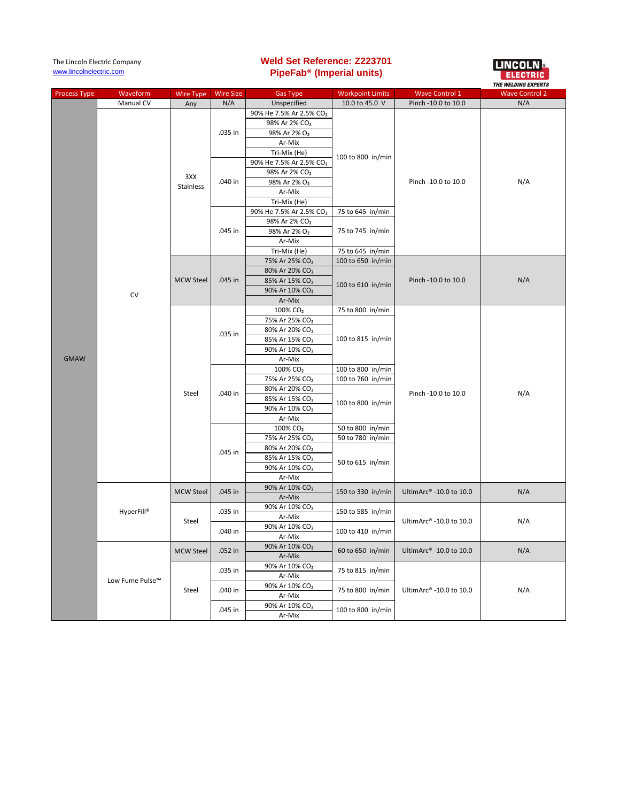| <b>Process Type</b> | Waveform        | Wire Type        | <b>Wire Size</b>   | <b>Gas Type</b>                                          | <b>Workpoint Limits</b>                                   | <b>Wave Control 1</b>   | <i><b>INE WELDING EAFERIS</b></i><br><b>Wave Control 2</b> |
|---------------------|-----------------|------------------|--------------------|----------------------------------------------------------|-----------------------------------------------------------|-------------------------|------------------------------------------------------------|
|                     | Manual CV       | Any              | N/A                | Unspecified                                              | 10.0 to 45.0 V                                            | Pinch -10.0 to 10.0     | N/A                                                        |
|                     |                 |                  |                    | 90% He 7.5% Ar 2.5% CO <sub>2</sub>                      |                                                           |                         | N/A                                                        |
|                     |                 |                  |                    | 98% Ar 2% CO <sub>2</sub>                                |                                                           |                         |                                                            |
|                     |                 |                  | .035 in            | 98% Ar 2% O <sub>2</sub>                                 |                                                           | Pinch -10.0 to 10.0     |                                                            |
|                     |                 | 3XX<br>Stainless |                    | Ar-Mix                                                   | 100 to 800 in/min<br>75 to 645 in/min                     |                         |                                                            |
|                     |                 |                  |                    | Tri-Mix (He)                                             |                                                           |                         |                                                            |
|                     |                 |                  | .040 in            | 90% He 7.5% Ar 2.5% CO2                                  |                                                           |                         |                                                            |
|                     |                 |                  |                    | 98% Ar 2% CO <sub>2</sub>                                |                                                           |                         |                                                            |
|                     |                 |                  |                    | 98% Ar 2% O <sub>2</sub>                                 |                                                           |                         |                                                            |
|                     |                 |                  |                    | Ar-Mix                                                   |                                                           |                         |                                                            |
|                     |                 |                  |                    | Tri-Mix (He)                                             |                                                           |                         |                                                            |
|                     |                 |                  |                    | 90% He 7.5% Ar 2.5% CO2                                  |                                                           |                         |                                                            |
|                     |                 |                  |                    | 98% Ar 2% CO <sub>2</sub>                                | 75 to 745 in/min                                          |                         |                                                            |
|                     |                 |                  | .045 in            | 98% Ar 2% O <sub>2</sub>                                 |                                                           |                         |                                                            |
|                     |                 |                  |                    | Ar-Mix                                                   |                                                           |                         |                                                            |
|                     |                 |                  |                    | Tri-Mix (He)                                             | 75 to 645 in/min                                          |                         |                                                            |
|                     |                 |                  |                    | 75% Ar 25% CO <sub>2</sub>                               | 100 to 650 in/min                                         |                         | N/A                                                        |
|                     |                 |                  |                    | 80% Ar 20% CO <sub>2</sub>                               |                                                           |                         |                                                            |
|                     |                 | <b>MCW Steel</b> | .045 in            | 85% Ar 15% CO <sub>2</sub>                               | 100 to 610 in/min                                         | Pinch -10.0 to 10.0     |                                                            |
|                     | CV              |                  |                    | 90% Ar 10% CO <sub>2</sub>                               |                                                           |                         |                                                            |
|                     |                 |                  |                    | Ar-Mix                                                   |                                                           |                         |                                                            |
|                     |                 |                  |                    | 100% CO <sub>2</sub>                                     | 75 to 800 in/min                                          |                         | N/A                                                        |
|                     |                 |                  |                    | 75% Ar 25% CO <sub>2</sub>                               |                                                           |                         |                                                            |
|                     |                 |                  | .035 in            | 80% Ar 20% CO <sub>2</sub>                               |                                                           |                         |                                                            |
|                     |                 |                  |                    | 85% Ar 15% CO <sub>2</sub>                               | 100 to 815 in/min                                         | Pinch -10.0 to 10.0     |                                                            |
|                     |                 |                  |                    | 90% Ar 10% CO <sub>2</sub>                               |                                                           |                         |                                                            |
| <b>GMAW</b>         |                 |                  |                    | Ar-Mix                                                   |                                                           |                         |                                                            |
|                     |                 |                  |                    | 100% CO <sub>2</sub>                                     | 100 to 800 in/min                                         |                         |                                                            |
|                     |                 |                  |                    | 75% Ar 25% CO <sub>2</sub>                               | 100 to 760 in/min                                         |                         |                                                            |
|                     |                 | Steel            | .040 in            | 80% Ar 20% CO <sub>2</sub>                               | 100 to 800 in/min                                         |                         |                                                            |
|                     |                 | <b>MCW Steel</b> |                    | 85% Ar 15% CO <sub>2</sub>                               |                                                           |                         |                                                            |
|                     |                 |                  |                    | 90% Ar 10% CO <sub>2</sub>                               |                                                           |                         |                                                            |
|                     |                 |                  |                    | Ar-Mix                                                   |                                                           |                         |                                                            |
|                     |                 |                  | .045 in<br>.045 in | 100% CO <sub>2</sub>                                     | 50 to 800 in/min                                          |                         |                                                            |
|                     |                 |                  |                    | 75% Ar 25% CO <sub>2</sub>                               | 50 to 780 in/min<br>50 to 615 in/min<br>150 to 330 in/min |                         |                                                            |
|                     |                 |                  |                    | 80% Ar 20% CO <sub>2</sub><br>85% Ar 15% CO <sub>2</sub> |                                                           |                         |                                                            |
|                     |                 |                  |                    | 90% Ar 10% CO <sub>2</sub>                               |                                                           |                         |                                                            |
|                     |                 |                  |                    | Ar-Mix                                                   |                                                           |                         |                                                            |
|                     |                 |                  |                    | 90% Ar 10% CO <sub>2</sub>                               |                                                           |                         |                                                            |
|                     | HyperFill®      |                  |                    | Ar-Mix                                                   |                                                           | UltimArc® -10.0 to 10.0 | N/A                                                        |
|                     |                 |                  |                    | 90% Ar 10% CO <sub>2</sub>                               |                                                           | UltimArc® -10.0 to 10.0 | N/A                                                        |
|                     |                 | Steel            | .035 in            | Ar-Mix                                                   | 150 to 585 in/min                                         |                         |                                                            |
|                     |                 |                  | .040 in            | 90% Ar 10% CO <sub>2</sub>                               | 100 to 410 in/min                                         |                         |                                                            |
|                     |                 |                  |                    | Ar-Mix                                                   |                                                           |                         |                                                            |
|                     | Low Fume Pulse™ | <b>MCW Steel</b> |                    | 90% Ar 10% CO <sub>2</sub>                               |                                                           | UltimArc® -10.0 to 10.0 |                                                            |
|                     |                 |                  | .052 in            | Ar-Mix                                                   | 60 to 650 in/min                                          |                         | N/A                                                        |
|                     |                 |                  |                    | 90% Ar 10% CO <sub>2</sub>                               |                                                           | UltimArc® -10.0 to 10.0 | N/A                                                        |
|                     |                 | Steel            | .035 in            | Ar-Mix                                                   | 75 to 815 in/min                                          |                         |                                                            |
|                     |                 |                  | .040 in            | 90% Ar 10% CO <sub>2</sub>                               | 75 to 800 in/min                                          |                         |                                                            |
|                     |                 |                  |                    | Ar-Mix                                                   |                                                           |                         |                                                            |
|                     |                 |                  |                    | 90% Ar 10% CO <sub>2</sub>                               |                                                           |                         |                                                            |
|                     |                 |                  | .045 in            | Ar-Mix                                                   | 100 to 800 in/min                                         |                         |                                                            |

**Weld Set Reference: Z223701 PipeFab® (Imperial units)**

ELINCOLN &

The Lincoln Electric Company [www.lincolnelectric.com](http://www.lincolnelectric.com/)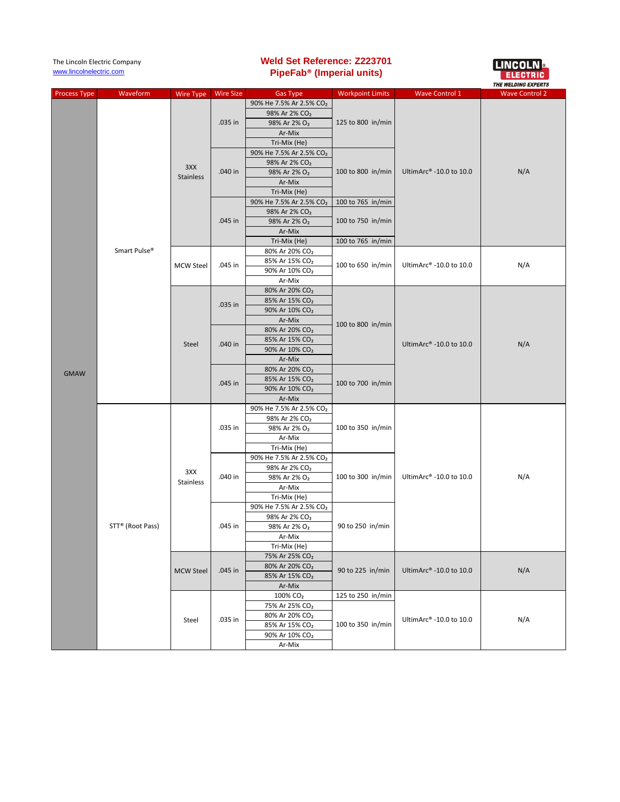| The Lincoln Electric Company |                  |                  |                    | <b>Weld Set Reference: Z223701</b>                               |                                                                   |                         | <b>LINCOLN</b> •      |
|------------------------------|------------------|------------------|--------------------|------------------------------------------------------------------|-------------------------------------------------------------------|-------------------------|-----------------------|
| www.lincolnelectric.com      |                  |                  |                    | PipeFab <sup>®</sup> (Imperial units)                            |                                                                   |                         |                       |
|                              |                  |                  |                    |                                                                  |                                                                   |                         | THE WELDING EXPERTS   |
| <b>Process Type</b>          | Waveform         | <b>Wire Type</b> | <b>Wire Size</b>   | <b>Gas Type</b>                                                  | <b>Workpoint Limits</b>                                           | <b>Wave Control 1</b>   | <b>Wave Control 2</b> |
|                              |                  |                  |                    | 90% He 7.5% Ar 2.5% CO <sub>2</sub>                              |                                                                   |                         |                       |
|                              |                  |                  | .035 in            | 98% Ar 2% CO <sub>2</sub>                                        |                                                                   |                         | N/A                   |
|                              |                  | 3XX<br>Stainless |                    | 98% Ar 2% O <sub>2</sub>                                         | 125 to 800 in/min                                                 |                         |                       |
|                              |                  |                  |                    | Ar-Mix                                                           |                                                                   |                         |                       |
|                              |                  |                  |                    | Tri-Mix (He)                                                     |                                                                   |                         |                       |
|                              |                  |                  | $.040$ in          | 90% He 7.5% Ar 2.5% CO <sub>2</sub><br>98% Ar 2% CO <sub>2</sub> | 100 to 800 in/min                                                 |                         |                       |
|                              |                  |                  |                    | 98% Ar 2% O <sub>2</sub>                                         |                                                                   | UltimArc® -10.0 to 10.0 |                       |
|                              |                  |                  |                    | Ar-Mix                                                           |                                                                   |                         |                       |
|                              |                  |                  |                    | Tri-Mix (He)                                                     |                                                                   |                         |                       |
|                              |                  |                  |                    | 90% He 7.5% Ar 2.5% CO2                                          | 100 to 765 in/min                                                 |                         |                       |
|                              |                  |                  | .045 in            | 98% Ar 2% CO <sub>2</sub>                                        |                                                                   |                         |                       |
|                              |                  |                  |                    | 98% Ar 2% O <sub>2</sub>                                         | 100 to 750 in/min                                                 |                         |                       |
|                              |                  |                  |                    | Ar-Mix                                                           |                                                                   |                         |                       |
|                              |                  |                  |                    | Tri-Mix (He)                                                     | 100 to 765 in/min                                                 |                         |                       |
|                              | Smart Pulse®     |                  |                    | 80% Ar 20% CO <sub>2</sub>                                       |                                                                   |                         | N/A                   |
|                              |                  | <b>MCW Steel</b> |                    | 85% Ar 15% CO <sub>2</sub>                                       | 100 to 650 in/min                                                 | UltimArc® -10.0 to 10.0 |                       |
|                              |                  |                  | .045 in            | 90% Ar 10% CO <sub>2</sub>                                       |                                                                   |                         |                       |
|                              |                  |                  |                    | Ar-Mix                                                           |                                                                   |                         |                       |
|                              |                  |                  | .035 in            | 80% Ar 20% CO <sub>2</sub>                                       |                                                                   |                         | N/A<br>N/A            |
|                              |                  |                  |                    | 85% Ar 15% CO <sub>2</sub>                                       |                                                                   |                         |                       |
|                              |                  |                  |                    | 90% Ar 10% CO <sub>2</sub>                                       |                                                                   |                         |                       |
|                              |                  |                  |                    | Ar-Mix                                                           | 100 to 800 in/min<br>100 to 700 in/min<br>100 to 350 in/min       |                         |                       |
|                              |                  |                  |                    | 80% Ar 20% CO <sub>2</sub>                                       |                                                                   |                         |                       |
|                              |                  | Steel            | .040 in            | 85% Ar 15% CO <sub>2</sub>                                       |                                                                   | UltimArc® -10.0 to 10.0 |                       |
|                              |                  |                  |                    | 90% Ar 10% CO <sub>2</sub>                                       |                                                                   |                         |                       |
|                              |                  |                  |                    | Ar-Mix                                                           |                                                                   |                         |                       |
| <b>GMAW</b>                  |                  |                  | .045 in<br>.035 in | 80% Ar 20% CO <sub>2</sub>                                       |                                                                   |                         |                       |
|                              |                  |                  |                    | 85% Ar 15% CO <sub>2</sub>                                       |                                                                   |                         |                       |
|                              |                  |                  |                    | 90% Ar 10% CO <sub>2</sub>                                       |                                                                   |                         |                       |
|                              |                  |                  |                    | Ar-Mix<br>90% He 7.5% Ar 2.5% CO2                                |                                                                   |                         |                       |
|                              |                  |                  |                    | 98% Ar 2% CO <sub>2</sub>                                        |                                                                   |                         |                       |
|                              |                  | 3XX<br>Stainless |                    | 98% Ar 2% O <sub>2</sub>                                         |                                                                   |                         |                       |
|                              |                  |                  |                    | Ar-Mix                                                           |                                                                   | UltimArc® -10.0 to 10.0 |                       |
|                              |                  |                  |                    | Tri-Mix (He)                                                     |                                                                   |                         |                       |
|                              |                  |                  | .040 in            | 90% He 7.5% Ar 2.5% CO <sub>2</sub>                              | 100 to 300 in/min                                                 |                         |                       |
|                              |                  |                  |                    | 98% Ar 2% CO <sub>2</sub>                                        |                                                                   |                         |                       |
|                              |                  |                  |                    | 98% Ar 2% O <sub>2</sub>                                         |                                                                   |                         |                       |
|                              | STT® (Root Pass) |                  |                    | Ar-Mix                                                           |                                                                   |                         |                       |
|                              |                  |                  |                    | Tri-Mix (He)                                                     |                                                                   |                         |                       |
|                              |                  |                  | .045 in            | 90% He 7.5% Ar 2.5% CO <sub>2</sub>                              | 90 to 250 in/min                                                  |                         |                       |
|                              |                  |                  |                    | 98% Ar 2% CO <sub>2</sub>                                        |                                                                   |                         |                       |
|                              |                  |                  |                    | 98% Ar 2% O <sub>2</sub>                                         |                                                                   |                         |                       |
|                              |                  |                  |                    | Ar-Mix                                                           |                                                                   |                         |                       |
|                              |                  | <b>MCW Steel</b> |                    | Tri-Mix (He)                                                     |                                                                   |                         |                       |
|                              |                  |                  | .045 in            | 75% Ar 25% CO <sub>2</sub>                                       | 90 to 225 in/min<br>UltimArc® -10.0 to 10.0                       |                         | N/A                   |
|                              |                  |                  |                    | 80% Ar 20% CO <sub>2</sub>                                       |                                                                   |                         |                       |
|                              |                  |                  |                    | 85% Ar 15% CO <sub>2</sub>                                       |                                                                   |                         |                       |
|                              |                  |                  |                    | Ar-Mix<br>100% CO <sub>2</sub>                                   |                                                                   |                         |                       |
|                              |                  |                  | .035 in            |                                                                  | 125 to 250 in/min<br>UltimArc® -10.0 to 10.0<br>100 to 350 in/min |                         |                       |
|                              |                  |                  |                    | 75% Ar 25% CO <sub>2</sub>                                       |                                                                   |                         | N/A                   |
|                              |                  | Steel            |                    | 80% Ar 20% CO <sub>2</sub><br>85% Ar 15% CO <sub>2</sub>         |                                                                   |                         |                       |
|                              |                  |                  |                    | 90% Ar 10% CO <sub>2</sub>                                       |                                                                   |                         |                       |
|                              |                  |                  |                    | Ar-Mix                                                           |                                                                   |                         |                       |
|                              |                  |                  |                    |                                                                  |                                                                   |                         |                       |

**Weld Set Reference: Z223701**